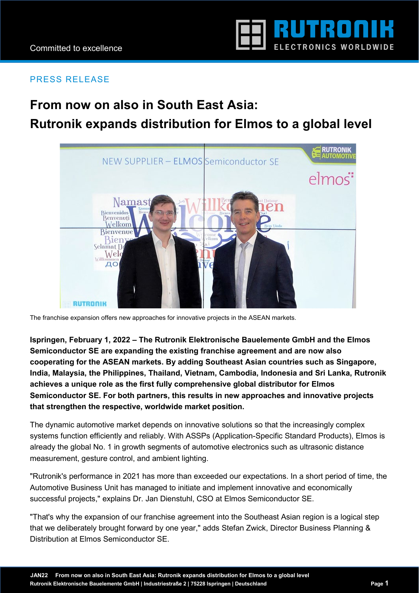

## PRESS RELEASE

# **From now on also in South East Asia: Rutronik expands distribution for Elmos to a global level**



The franchise expansion offers new approaches for innovative projects in the ASEAN markets.

**Ispringen, February 1, 2022 – The Rutronik Elektronische Bauelemente GmbH and the Elmos Semiconductor SE are expanding the existing franchise agreement and are now also cooperating for the ASEAN markets. By adding Southeast Asian countries such as Singapore, India, Malaysia, the Philippines, Thailand, Vietnam, Cambodia, Indonesia and Sri Lanka, Rutronik achieves a unique role as the first fully comprehensive global distributor for Elmos Semiconductor SE. For both partners, this results in new approaches and innovative projects that strengthen the respective, worldwide market position.** 

The dynamic automotive market depends on innovative solutions so that the increasingly complex systems function efficiently and reliably. With ASSPs (Application-Specific Standard Products), Elmos is already the global No. 1 in growth segments of automotive electronics such as ultrasonic distance measurement, gesture control, and ambient lighting.

"Rutronik's performance in 2021 has more than exceeded our expectations. In a short period of time, the Automotive Business Unit has managed to initiate and implement innovative and economically successful projects," explains Dr. Jan Dienstuhl, CSO at Elmos Semiconductor SE.

"That's why the expansion of our franchise agreement into the Southeast Asian region is a logical step that we deliberately brought forward by one year," adds Stefan Zwick, Director Business Planning & Distribution at Elmos Semiconductor SE.